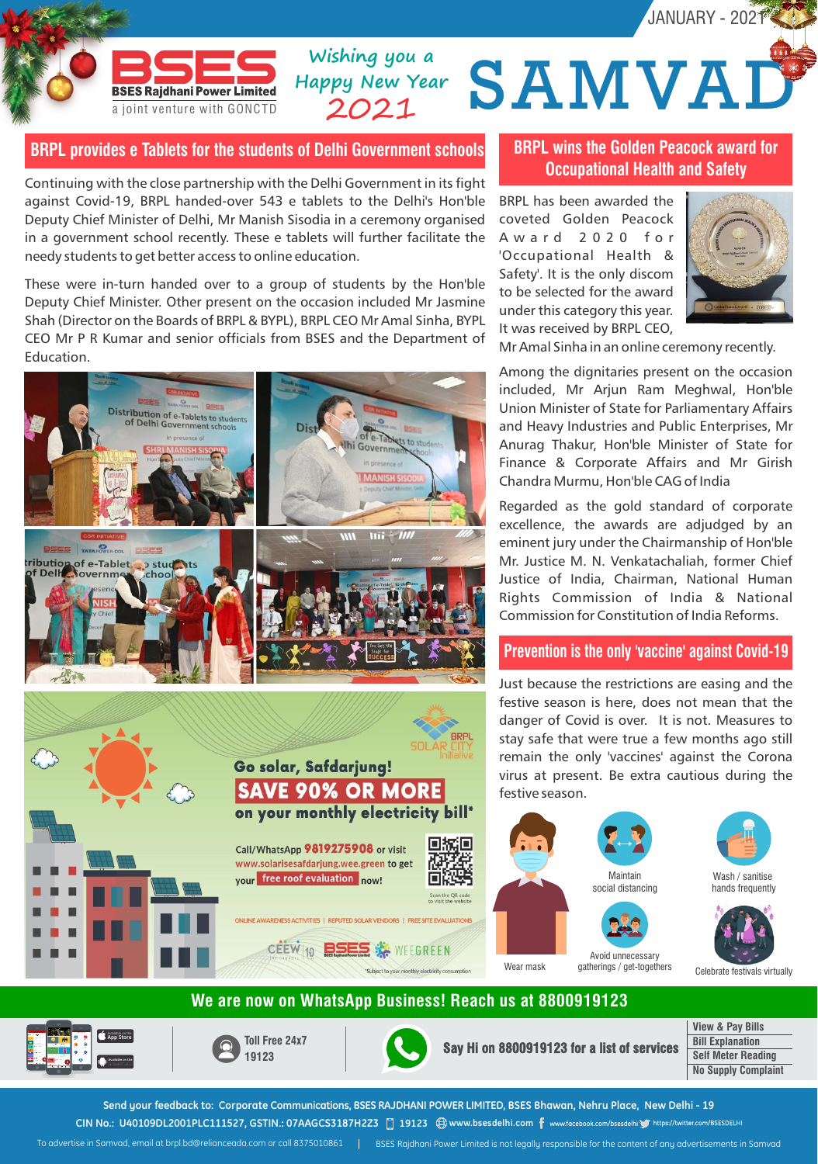

## **BRPL provides e Tablets for the students of Delhi Government schools**

**Happy New Year** 2021

Continuing with the close partnership with the Delhi Government in its fight against Covid-19, BRPL handed-over 543 e tablets to the Delhi's Hon'ble Deputy Chief Minister of Delhi, Mr Manish Sisodia in a ceremony organised in a government school recently. These e tablets will further facilitate the needy students to get better access to online education.

These were in-turn handed over to a group of students by the Hon'ble Deputy Chief Minister. Other present on the occasion included Mr Jasmine Shah (Director on the Boards of BRPL & BYPL), BRPL CEO Mr Amal Sinha, BYPL CEO Mr P R Kumar and senior officials from BSES and the Department of Education.



## **BRPL wins the Golden Peacock award for Occupational Health and Safety**

BRPL has been awarded the coveted Golden Peacock A w a r d 2 0 2 0 f o r 'Occupational Health & Safety'. It is the only discom to be selected for the award under this category this year. It was received by BRPL CEO,

Wishing you a<br>appy New Year **SAMVAD** 



JANUARY - 2021

Mr Amal Sinha in an online ceremony recently.

Among the dignitaries present on the occasion included, Mr Arjun Ram Meghwal, Hon'ble Union Minister of State for Parliamentary Affairs and Heavy Industries and Public Enterprises, Mr Anurag Thakur, Hon'ble Minister of State for Finance & Corporate Affairs and Mr Girish Chandra Murmu, Hon'ble CAG of India

Regarded as the gold standard of corporate excellence, the awards are adjudged by an eminent jury under the Chairmanship of Hon'ble Mr. Justice M. N. Venkatachaliah, former Chief Justice of India, Chairman, National Human Rights Commission of India & National Commission for Constitution of India Reforms.

#### **Prevention is the only 'vaccine' against Covid-19**

Just because the restrictions are easing and the festive season is here, does not mean that the danger of Covid is over. It is not. Measures to stay safe that were true a few months ago still remain the only 'vaccines' against the Corona virus at present. Be extra cautious during the festive season.





Wash / sanitise hands frequently

Celebrate festivals virtually

## **We are now on WhatsApp Business! Reach us at 8800919123**



Available on the **App Store Available on the** **Toll Free 24x7**

**Say Hi on 8800919123 for a list of services**

**View & Pay Bills Bill Explanation Self Meter Reading No Supply Complaint**

**Send your feedback to: Corporate Communications, BSES RAJDHANI POWER LIMITED, BSES Bhawan, Nehru Place, New Delhi - 19** CIN No.: U40109DL2001PLC111527, GSTIN.: 07AAGCS3187H2Z3 □ 19123 <sup>●</sup> www.bsesdelhi.com f www.facebook.com/bsesdelhi ● https://twitter.com/BSESDELHI